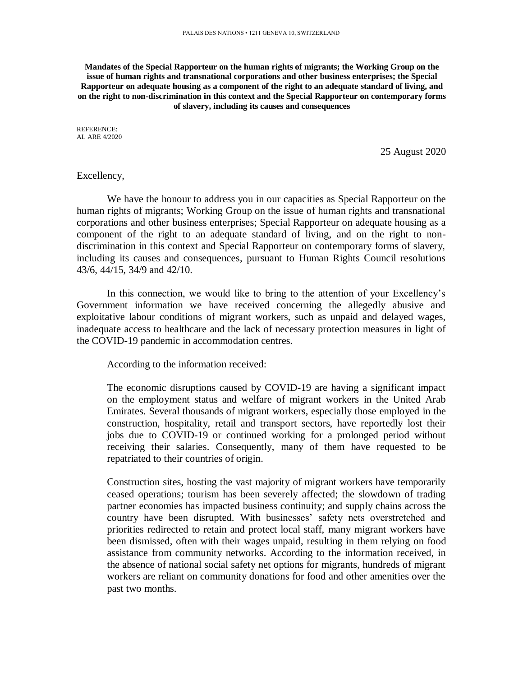**Mandates of the Special Rapporteur on the human rights of migrants; the Working Group on the issue of human rights and transnational corporations and other business enterprises; the Special Rapporteur on adequate housing as a component of the right to an adequate standard of living, and on the right to non-discrimination in this context and the Special Rapporteur on contemporary forms of slavery, including its causes and consequences**

REFERENCE: AL ARE 4/2020

25 August 2020

## Excellency,

We have the honour to address you in our capacities as Special Rapporteur on the human rights of migrants; Working Group on the issue of human rights and transnational corporations and other business enterprises; Special Rapporteur on adequate housing as a component of the right to an adequate standard of living, and on the right to nondiscrimination in this context and Special Rapporteur on contemporary forms of slavery, including its causes and consequences, pursuant to Human Rights Council resolutions 43/6, 44/15, 34/9 and 42/10.

In this connection, we would like to bring to the attention of your Excellency's Government information we have received concerning the allegedly abusive and exploitative labour conditions of migrant workers, such as unpaid and delayed wages, inadequate access to healthcare and the lack of necessary protection measures in light of the COVID-19 pandemic in accommodation centres.

According to the information received:

The economic disruptions caused by COVID-19 are having a significant impact on the employment status and welfare of migrant workers in the United Arab Emirates. Several thousands of migrant workers, especially those employed in the construction, hospitality, retail and transport sectors, have reportedly lost their jobs due to COVID-19 or continued working for a prolonged period without receiving their salaries. Consequently, many of them have requested to be repatriated to their countries of origin.

Construction sites, hosting the vast majority of migrant workers have temporarily ceased operations; tourism has been severely affected; the slowdown of trading partner economies has impacted business continuity; and supply chains across the country have been disrupted. With businesses' safety nets overstretched and priorities redirected to retain and protect local staff, many migrant workers have been dismissed, often with their wages unpaid, resulting in them relying on food assistance from community networks. According to the information received, in the absence of national social safety net options for migrants, hundreds of migrant workers are reliant on community donations for food and other amenities over the past two months.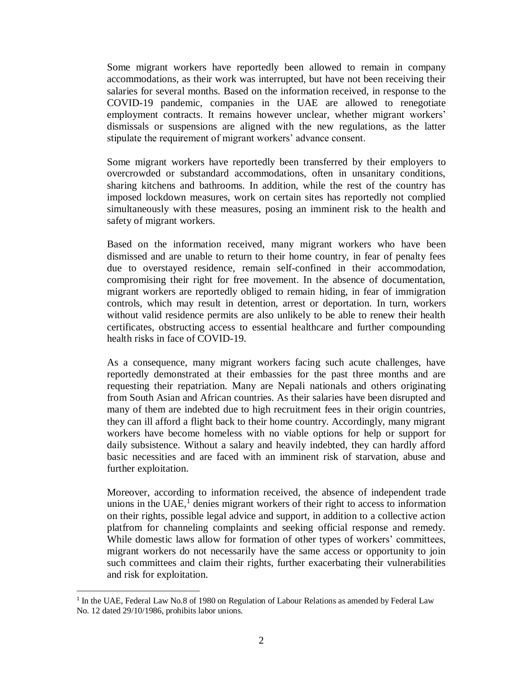Some migrant workers have reportedly been allowed to remain in company accommodations, as their work was interrupted, but have not been receiving their salaries for several months. Based on the information received, in response to the COVID-19 pandemic, companies in the UAE are allowed to renegotiate employment contracts. It remains however unclear, whether migrant workers' dismissals or suspensions are aligned with the new regulations, as the latter stipulate the requirement of migrant workers' advance consent.

Some migrant workers have reportedly been transferred by their employers to overcrowded or substandard accommodations, often in unsanitary conditions, sharing kitchens and bathrooms. In addition, while the rest of the country has imposed lockdown measures, work on certain sites has reportedly not complied simultaneously with these measures, posing an imminent risk to the health and safety of migrant workers.

Based on the information received, many migrant workers who have been dismissed and are unable to return to their home country, in fear of penalty fees due to overstayed residence, remain self-confined in their accommodation, compromising their right for free movement. In the absence of documentation, migrant workers are reportedly obliged to remain hiding, in fear of immigration controls, which may result in detention, arrest or deportation. In turn, workers without valid residence permits are also unlikely to be able to renew their health certificates, obstructing access to essential healthcare and further compounding health risks in face of COVID-19.

As a consequence, many migrant workers facing such acute challenges, have reportedly demonstrated at their embassies for the past three months and are requesting their repatriation. Many are Nepali nationals and others originating from South Asian and African countries. As their salaries have been disrupted and many of them are indebted due to high recruitment fees in their origin countries, they can ill afford a flight back to their home country. Accordingly, many migrant workers have become homeless with no viable options for help or support for daily subsistence. Without a salary and heavily indebted, they can hardly afford basic necessities and are faced with an imminent risk of starvation, abuse and further exploitation.

Moreover, according to information received, the absence of independent trade unions in the UAE, $<sup>1</sup>$  denies migrant workers of their right to access to information</sup> on their rights, possible legal advice and support, in addition to a collective action platfrom for channeling complaints and seeking official response and remedy. While domestic laws allow for formation of other types of workers' committees, migrant workers do not necessarily have the same access or opportunity to join such committees and claim their rights, further exacerbating their vulnerabilities and risk for exploitation.

l

<sup>&</sup>lt;sup>1</sup> In the UAE, Federal Law No.8 of 1980 on Regulation of Labour Relations as amended by Federal Law No. 12 dated 29/10/1986, prohibits labor unions.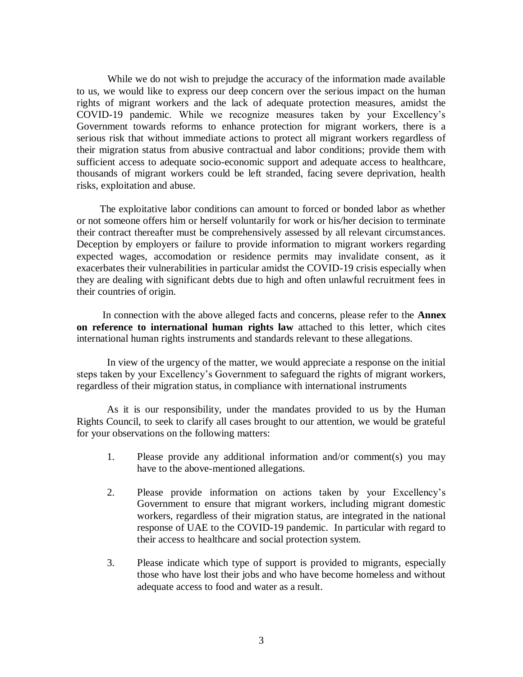While we do not wish to prejudge the accuracy of the information made available to us, we would like to express our deep concern over the serious impact on the human rights of migrant workers and the lack of adequate protection measures, amidst the COVID-19 pandemic. While we recognize measures taken by your Excellency's Government towards reforms to enhance protection for migrant workers, there is a serious risk that without immediate actions to protect all migrant workers regardless of their migration status from abusive contractual and labor conditions; provide them with sufficient access to adequate socio-economic support and adequate access to healthcare, thousands of migrant workers could be left stranded, facing severe deprivation, health risks, exploitation and abuse.

 The exploitative labor conditions can amount to forced or bonded labor as whether or not someone offers him or herself voluntarily for work or his/her decision to terminate their contract thereafter must be comprehensively assessed by all relevant circumstances. Deception by employers or failure to provide information to migrant workers regarding expected wages, accomodation or residence permits may invalidate consent, as it exacerbates their vulnerabilities in particular amidst the COVID-19 crisis especially when they are dealing with significant debts due to high and often unlawful recruitment fees in their countries of origin.

 In connection with the above alleged facts and concerns, please refer to the **Annex on reference to international human rights law** attached to this letter, which cites international human rights instruments and standards relevant to these allegations.

In view of the urgency of the matter, we would appreciate a response on the initial steps taken by your Excellency's Government to safeguard the rights of migrant workers, regardless of their migration status, in compliance with international instruments

As it is our responsibility, under the mandates provided to us by the Human Rights Council, to seek to clarify all cases brought to our attention, we would be grateful for your observations on the following matters:

- 1. Please provide any additional information and/or comment(s) you may have to the above-mentioned allegations.
- 2. Please provide information on actions taken by your Excellency's Government to ensure that migrant workers, including migrant domestic workers, regardless of their migration status, are integrated in the national response of UAE to the COVID-19 pandemic. In particular with regard to their access to healthcare and social protection system.
- 3. Please indicate which type of support is provided to migrants, especially those who have lost their jobs and who have become homeless and without adequate access to food and water as a result.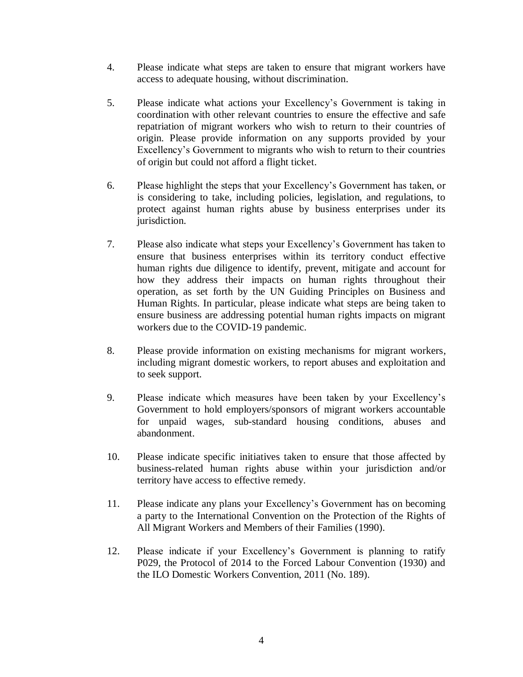- 4. Please indicate what steps are taken to ensure that migrant workers have access to adequate housing, without discrimination.
- 5. Please indicate what actions your Excellency's Government is taking in coordination with other relevant countries to ensure the effective and safe repatriation of migrant workers who wish to return to their countries of origin. Please provide information on any supports provided by your Excellency's Government to migrants who wish to return to their countries of origin but could not afford a flight ticket.
- 6. Please highlight the steps that your Excellency's Government has taken, or is considering to take, including policies, legislation, and regulations, to protect against human rights abuse by business enterprises under its jurisdiction.
- 7. Please also indicate what steps your Excellency's Government has taken to ensure that business enterprises within its territory conduct effective human rights due diligence to identify, prevent, mitigate and account for how they address their impacts on human rights throughout their operation, as set forth by the UN Guiding Principles on Business and Human Rights. In particular, please indicate what steps are being taken to ensure business are addressing potential human rights impacts on migrant workers due to the COVID-19 pandemic.
- 8. Please provide information on existing mechanisms for migrant workers, including migrant domestic workers, to report abuses and exploitation and to seek support.
- 9. Please indicate which measures have been taken by your Excellency's Government to hold employers/sponsors of migrant workers accountable for unpaid wages, sub-standard housing conditions, abuses and abandonment.
- 10. Please indicate specific initiatives taken to ensure that those affected by business-related human rights abuse within your jurisdiction and/or territory have access to effective remedy.
- 11. Please indicate any plans your Excellency's Government has on becoming a party to the International Convention on the Protection of the Rights of All Migrant Workers and Members of their Families (1990).
- 12. Please indicate if your Excellency's Government is planning to ratify P029, the Protocol of 2014 to the Forced Labour Convention (1930) and the ILO Domestic Workers Convention, 2011 (No. 189).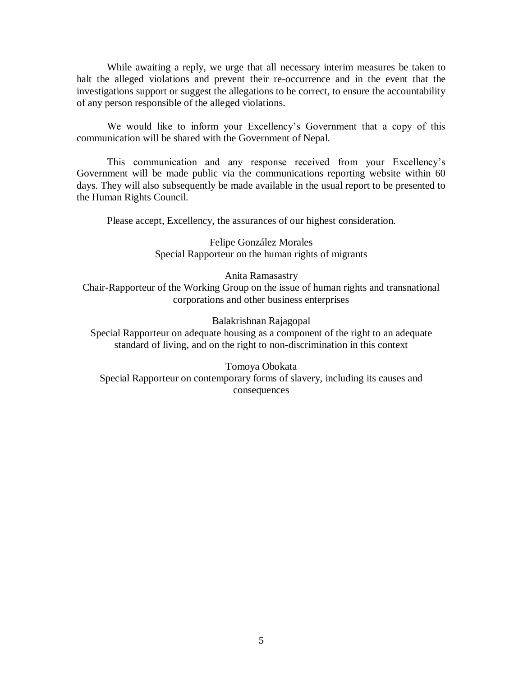While awaiting a reply, we urge that all necessary interim measures be taken to halt the alleged violations and prevent their re-occurrence and in the event that the investigations support or suggest the allegations to be correct, to ensure the accountability of any person responsible of the alleged violations.

We would like to inform your Excellency's Government that a copy of this communication will be shared with the Government of Nepal.

This communication and any response received from your Excellency's Government will be made public via the communications reporting website within 60 days. They will also subsequently be made available in the usual report to be presented to the Human Rights Council.

Please accept, Excellency, the assurances of our highest consideration.

Felipe González Morales Special Rapporteur on the human rights of migrants

Anita Ramasastry

Chair-Rapporteur of the Working Group on the issue of human rights and transnational corporations and other business enterprises

Balakrishnan Rajagopal

Special Rapporteur on adequate housing as a component of the right to an adequate standard of living, and on the right to non-discrimination in this context

Tomoya Obokata Special Rapporteur on contemporary forms of slavery, including its causes and consequences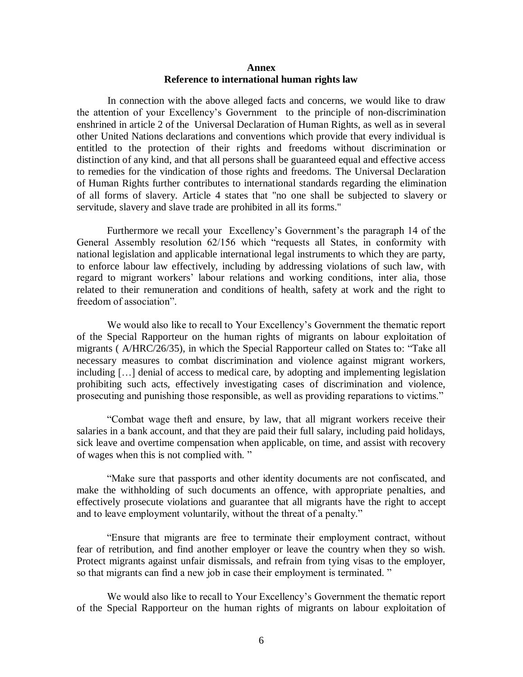## **Annex Reference to international human rights law**

In connection with the above alleged facts and concerns, we would like to draw the attention of your Excellency's Government to the principle of non-discrimination enshrined in article 2 of the Universal Declaration of Human Rights, as well as in several other United Nations declarations and conventions which provide that every individual is entitled to the protection of their rights and freedoms without discrimination or distinction of any kind, and that all persons shall be guaranteed equal and effective access to remedies for the vindication of those rights and freedoms. The Universal Declaration of Human Rights further contributes to international standards regarding the elimination of all forms of slavery. Article 4 states that "no one shall be subjected to slavery or servitude, slavery and slave trade are prohibited in all its forms."

Furthermore we recall your Excellency's Government's the paragraph 14 of the General Assembly resolution 62/156 which "requests all States, in conformity with national legislation and applicable international legal instruments to which they are party, to enforce labour law effectively, including by addressing violations of such law, with regard to migrant workers' labour relations and working conditions, inter alia, those related to their remuneration and conditions of health, safety at work and the right to freedom of association".

We would also like to recall to Your Excellency's Government the thematic report of the Special Rapporteur on the human rights of migrants on labour exploitation of migrants ( A/HRC/26/35), in which the Special Rapporteur called on States to: "Take all necessary measures to combat discrimination and violence against migrant workers, including […] denial of access to medical care, by adopting and implementing legislation prohibiting such acts, effectively investigating cases of discrimination and violence, prosecuting and punishing those responsible, as well as providing reparations to victims."

"Combat wage theft and ensure, by law, that all migrant workers receive their salaries in a bank account, and that they are paid their full salary, including paid holidays, sick leave and overtime compensation when applicable, on time, and assist with recovery of wages when this is not complied with. "

"Make sure that passports and other identity documents are not confiscated, and make the withholding of such documents an offence, with appropriate penalties, and effectively prosecute violations and guarantee that all migrants have the right to accept and to leave employment voluntarily, without the threat of a penalty."

"Ensure that migrants are free to terminate their employment contract, without fear of retribution, and find another employer or leave the country when they so wish. Protect migrants against unfair dismissals, and refrain from tying visas to the employer, so that migrants can find a new job in case their employment is terminated. "

We would also like to recall to Your Excellency's Government the thematic report of the Special Rapporteur on the human rights of migrants on labour exploitation of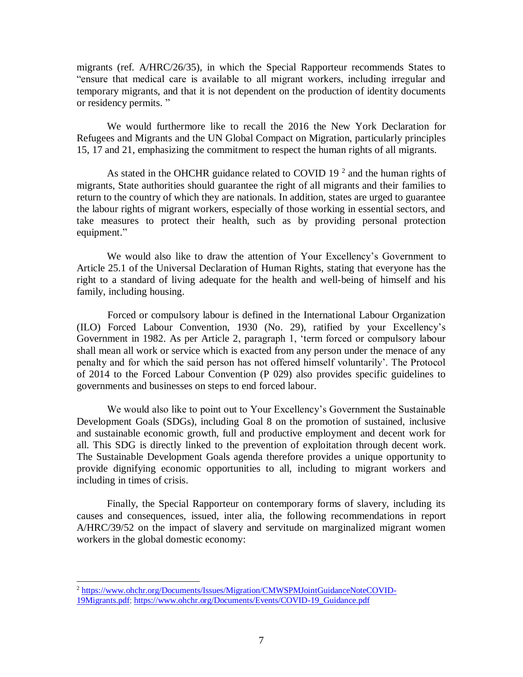migrants (ref. A/HRC/26/35), in which the Special Rapporteur recommends States to "ensure that medical care is available to all migrant workers, including irregular and temporary migrants, and that it is not dependent on the production of identity documents or residency permits. "

We would furthermore like to recall the 2016 the New York Declaration for Refugees and Migrants and the UN Global Compact on Migration, particularly principles 15, 17 and 21, emphasizing the commitment to respect the human rights of all migrants.

As stated in the OHCHR guidance related to COVID 19 $^2$  and the human rights of migrants, State authorities should guarantee the right of all migrants and their families to return to the country of which they are nationals. In addition, states are urged to guarantee the labour rights of migrant workers, especially of those working in essential sectors, and take measures to protect their health, such as by providing personal protection equipment."

We would also like to draw the attention of Your Excellency's Government to Article 25.1 of the Universal Declaration of Human Rights, stating that everyone has the right to a standard of living adequate for the health and well-being of himself and his family, including housing.

Forced or compulsory labour is defined in the International Labour Organization (ILO) Forced Labour Convention, 1930 (No. 29), ratified by your Excellency's Government in 1982. As per Article 2, paragraph 1, 'term forced or compulsory labour shall mean all work or service which is exacted from any person under the menace of any penalty and for which the said person has not offered himself voluntarily'. The Protocol of 2014 to the Forced Labour Convention (P 029) also provides specific guidelines to governments and businesses on steps to end forced labour.

We would also like to point out to Your Excellency's Government the Sustainable Development Goals (SDGs), including Goal 8 on the promotion of sustained, inclusive and sustainable economic growth, full and productive employment and decent work for all. This SDG is directly linked to the prevention of exploitation through decent work. The Sustainable Development Goals agenda therefore provides a unique opportunity to provide dignifying economic opportunities to all, including to migrant workers and including in times of crisis.

Finally, the Special Rapporteur on contemporary forms of slavery, including its causes and consequences, issued, inter alia, the following recommendations in report A/HRC/39/52 on the impact of slavery and servitude on marginalized migrant women workers in the global domestic economy:

l

<sup>&</sup>lt;sup>2</sup> [https://www.ohchr.org/Documents/Issues/Migration/CMWSPMJointGuidanceNoteCOVID-](https://www.ohchr.org/Documents/Issues/Migration/CMWSPMJointGuidanceNoteCOVID-19Migrants.pdf)[19Migrants.pdf;](https://www.ohchr.org/Documents/Issues/Migration/CMWSPMJointGuidanceNoteCOVID-19Migrants.pdf) [https://www.ohchr.org/Documents/Events/COVID-19\\_Guidance.pdf](https://www.ohchr.org/Documents/Events/COVID-19_Guidance.pdf)